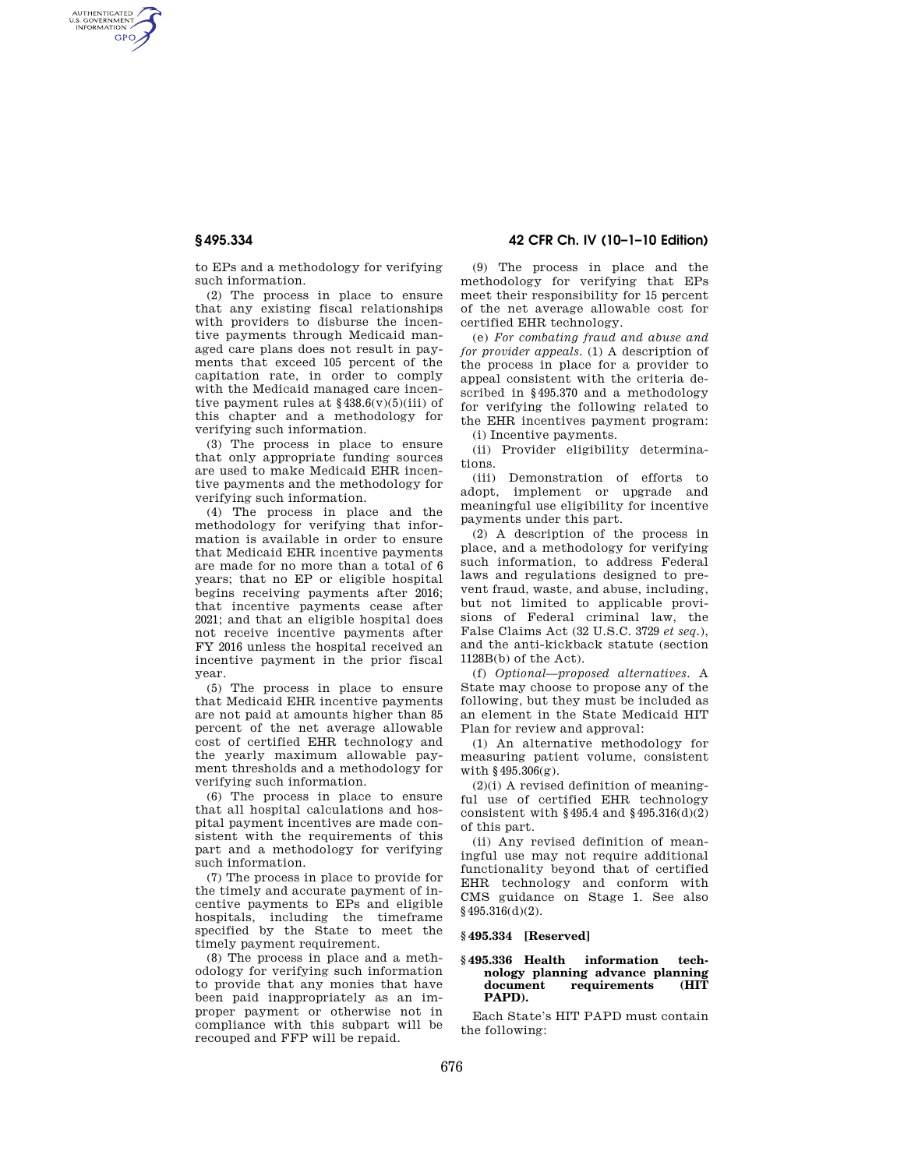AUTHENTICATED<br>U.S. GOVERNMENT<br>INFORMATION **GPO** 

**§ 495.334 42 CFR Ch. IV (10–1–10 Edition)** 

to EPs and a methodology for verifying such information.

(2) The process in place to ensure that any existing fiscal relationships with providers to disburse the incentive payments through Medicaid managed care plans does not result in payments that exceed 105 percent of the capitation rate, in order to comply with the Medicaid managed care incentive payment rules at  $\frac{2438.6(v)}{5(iii)}$  of this chapter and a methodology for verifying such information.

(3) The process in place to ensure that only appropriate funding sources are used to make Medicaid EHR incentive payments and the methodology for verifying such information.

(4) The process in place and the methodology for verifying that information is available in order to ensure that Medicaid EHR incentive payments are made for no more than a total of 6 years; that no EP or eligible hospital begins receiving payments after 2016; that incentive payments cease after 2021; and that an eligible hospital does not receive incentive payments after FY 2016 unless the hospital received an incentive payment in the prior fiscal year.

(5) The process in place to ensure that Medicaid EHR incentive payments are not paid at amounts higher than 85 percent of the net average allowable cost of certified EHR technology and the yearly maximum allowable payment thresholds and a methodology for verifying such information.

(6) The process in place to ensure that all hospital calculations and hospital payment incentives are made consistent with the requirements of this part and a methodology for verifying such information.

(7) The process in place to provide for the timely and accurate payment of incentive payments to EPs and eligible hospitals, including the timeframe specified by the State to meet the timely payment requirement.

(8) The process in place and a methodology for verifying such information to provide that any monies that have been paid inappropriately as an improper payment or otherwise not in compliance with this subpart will be recouped and FFP will be repaid.

(9) The process in place and the methodology for verifying that EPs meet their responsibility for 15 percent of the net average allowable cost for certified EHR technology.

(e) *For combating fraud and abuse and for provider appeals.* (1) A description of the process in place for a provider to appeal consistent with the criteria described in §495.370 and a methodology for verifying the following related to the EHR incentives payment program:

(i) Incentive payments. (ii) Provider eligibility determinations.

(iii) Demonstration of efforts to adopt, implement or upgrade and meaningful use eligibility for incentive payments under this part.

(2) A description of the process in place, and a methodology for verifying such information, to address Federal laws and regulations designed to prevent fraud, waste, and abuse, including, but not limited to applicable provisions of Federal criminal law, the False Claims Act (32 U.S.C. 3729 *et seq.*), and the anti-kickback statute (section 1128B(b) of the Act).

(f) *Optional—proposed alternatives.* A State may choose to propose any of the following, but they must be included as an element in the State Medicaid HIT Plan for review and approval:

(1) An alternative methodology for measuring patient volume, consistent with §495.306(g).

 $(2)(i)$  A revised definition of meaningful use of certified EHR technology consistent with  $§$ 495.4 and  $§$ 495.316(d)(2) of this part.

(ii) Any revised definition of meaningful use may not require additional functionality beyond that of certified EHR technology and conform with CMS guidance on Stage 1. See also §495.316(d)(2).

# **§ 495.334 [Reserved]**

## **§ 495.336 Health information technology planning advance planning document requirements (HIT PAPD).**

Each State's HIT PAPD must contain the following: